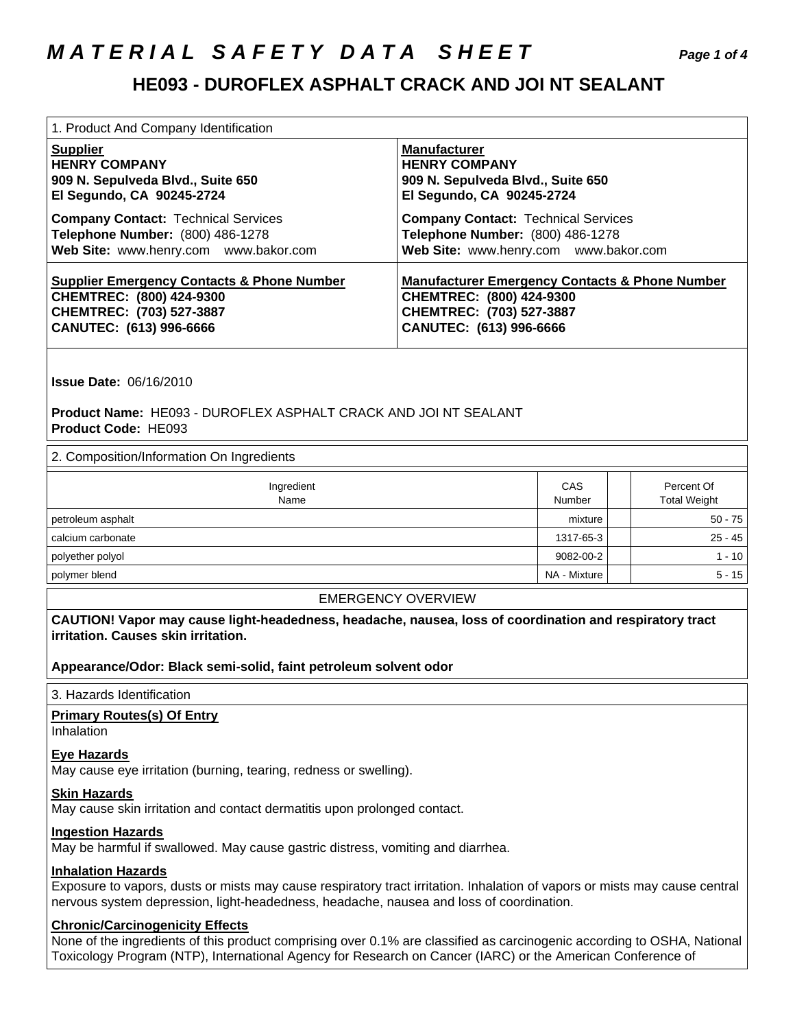## **M A T E R I A L S A F E T Y D A T A S H E E T Page 1 of 4**

### **HE093 - DUROFLEX ASPHALT CRACK AND JOI NT SEALANT**

| 1. Product And Company Identification                 |                                                           |
|-------------------------------------------------------|-----------------------------------------------------------|
| <b>Supplier</b>                                       | <b>Manufacturer</b>                                       |
| <b>HENRY COMPANY</b>                                  | <b>HENRY COMPANY</b>                                      |
| 909 N. Sepulveda Blvd., Suite 650                     | 909 N. Sepulveda Blvd., Suite 650                         |
| El Segundo, CA 90245-2724                             | El Segundo, CA 90245-2724                                 |
| <b>Company Contact: Technical Services</b>            | <b>Company Contact: Technical Services</b>                |
| Telephone Number: (800) 486-1278                      | Telephone Number: (800) 486-1278                          |
| Web Site: www.henry.com www.bakor.com                 | Web Site: www.henry.com www.bakor.com                     |
| <b>Supplier Emergency Contacts &amp; Phone Number</b> | <b>Manufacturer Emergency Contacts &amp; Phone Number</b> |
| CHEMTREC: (800) 424-9300                              | CHEMTREC: (800) 424-9300                                  |
| CHEMTREC: (703) 527-3887                              | CHEMTREC: (703) 527-3887                                  |
| CANUTEC: (613) 996-6666                               | CANUTEC: (613) 996-6666                                   |

 **Issue Date:** 06/16/2010

 **Product Name:** HE093 - DUROFLEX ASPHALT CRACK AND JOI NT SEALANT  **Product Code:** HE093

#### 2. Composition/Information On Ingredients

| Ingredient<br>Name | CAS<br>Number | Percent Of<br><b>Total Weight</b> |
|--------------------|---------------|-----------------------------------|
| petroleum asphalt  | mixture       | $50 - 75$                         |
| calcium carbonate  | 1317-65-3     | $25 - 45$                         |
| polyether polyol   | 9082-00-2     | $1 - 10$                          |
| polymer blend      | NA - Mixture  | $5 - 15$                          |

#### EMERGENCY OVERVIEW

 **CAUTION! Vapor may cause light-headedness, headache, nausea, loss of coordination and respiratory tract irritation. Causes skin irritation.** 

 **Appearance/Odor: Black semi-solid, faint petroleum solvent odor** 

#### 3. Hazards Identification

#### **Primary Routes(s) Of Entry**

Inhalation

#### **Eye Hazards**

May cause eye irritation (burning, tearing, redness or swelling).

#### **Skin Hazards**

May cause skin irritation and contact dermatitis upon prolonged contact.

#### **Ingestion Hazards**

May be harmful if swallowed. May cause gastric distress, vomiting and diarrhea.

#### **Inhalation Hazards**

 Exposure to vapors, dusts or mists may cause respiratory tract irritation. Inhalation of vapors or mists may cause central nervous system depression, light-headedness, headache, nausea and loss of coordination.

#### **Chronic/Carcinogenicity Effects**

 None of the ingredients of this product comprising over 0.1% are classified as carcinogenic according to OSHA, National Toxicology Program (NTP), International Agency for Research on Cancer (IARC) or the American Conference of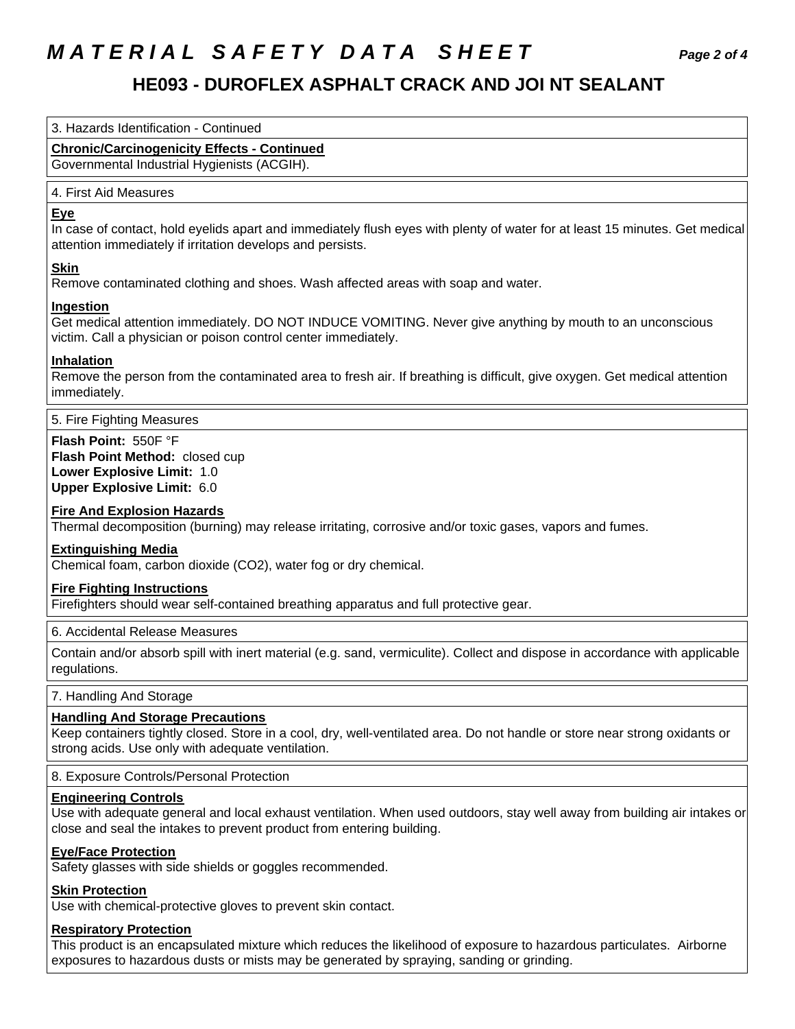# **M A T E R I A L S A F E T Y D A T A S H E E T Page 2 of 4**

### **HE093 - DUROFLEX ASPHALT CRACK AND JOI NT SEALANT**

3. Hazards Identification - Continued

### **Chronic/Carcinogenicity Effects - Continued**

Governmental Industrial Hygienists (ACGIH).

#### 4. First Aid Measures

#### **Eye**

 In case of contact, hold eyelids apart and immediately flush eyes with plenty of water for at least 15 minutes. Get medical attention immediately if irritation develops and persists.

#### **Skin**

Remove contaminated clothing and shoes. Wash affected areas with soap and water.

#### **Ingestion**

 Get medical attention immediately. DO NOT INDUCE VOMITING. Never give anything by mouth to an unconscious victim. Call a physician or poison control center immediately.

#### **Inhalation**

 Remove the person from the contaminated area to fresh air. If breathing is difficult, give oxygen. Get medical attention immediately.

5. Fire Fighting Measures

 **Flash Point:** 550F °F  **Flash Point Method:** closed cup  **Lower Explosive Limit:** 1.0  **Upper Explosive Limit:** 6.0

#### **Fire And Explosion Hazards**

Thermal decomposition (burning) may release irritating, corrosive and/or toxic gases, vapors and fumes.

#### **Extinguishing Media**

Chemical foam, carbon dioxide (CO2), water fog or dry chemical.

#### **Fire Fighting Instructions**

Firefighters should wear self-contained breathing apparatus and full protective gear.

#### 6. Accidental Release Measures

 Contain and/or absorb spill with inert material (e.g. sand, vermiculite). Collect and dispose in accordance with applicable regulations.

#### 7. Handling And Storage

#### **Handling And Storage Precautions**

 Keep containers tightly closed. Store in a cool, dry, well-ventilated area. Do not handle or store near strong oxidants or strong acids. Use only with adequate ventilation.

8. Exposure Controls/Personal Protection

#### **Engineering Controls**

 Use with adequate general and local exhaust ventilation. When used outdoors, stay well away from building air intakes or close and seal the intakes to prevent product from entering building.

#### **Eye/Face Protection**

Safety glasses with side shields or goggles recommended.

#### **Skin Protection**

Use with chemical-protective gloves to prevent skin contact.

#### **Respiratory Protection**

 This product is an encapsulated mixture which reduces the likelihood of exposure to hazardous particulates. Airborne exposures to hazardous dusts or mists may be generated by spraying, sanding or grinding.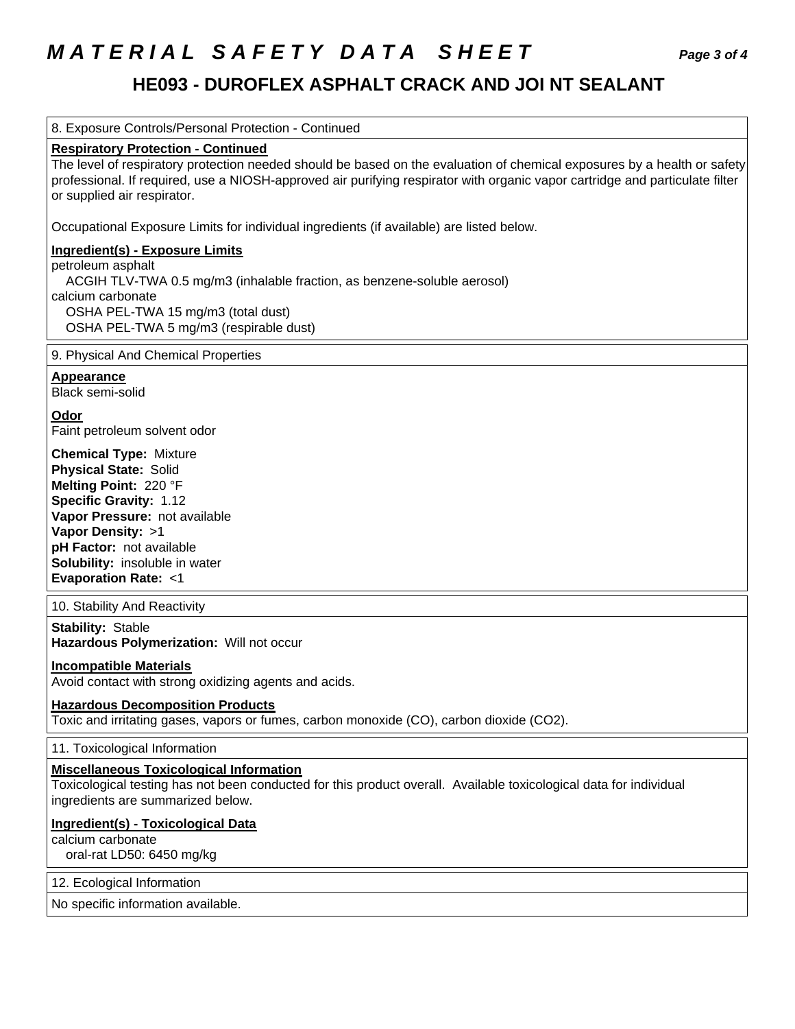# **M A T E R I A L S A F E T Y D A T A S H E E T Page 3 of 4**

### **HE093 - DUROFLEX ASPHALT CRACK AND JOI NT SEALANT**

8. Exposure Controls/Personal Protection - Continued

#### **Respiratory Protection - Continued**

 The level of respiratory protection needed should be based on the evaluation of chemical exposures by a health or safety professional. If required, use a NIOSH-approved air purifying respirator with organic vapor cartridge and particulate filter or supplied air respirator.

Occupational Exposure Limits for individual ingredients (if available) are listed below.

#### **Ingredient(s) - Exposure Limits**

 petroleum asphalt ACGIH TLV-TWA 0.5 mg/m3 (inhalable fraction, as benzene-soluble aerosol) calcium carbonate OSHA PEL-TWA 15 mg/m3 (total dust) OSHA PEL-TWA 5 mg/m3 (respirable dust)

#### 9. Physical And Chemical Properties

 **Appearance** 

Black semi-solid

 **Odor** 

Faint petroleum solvent odor

 **Chemical Type:** Mixture  **Physical State:** Solid  **Melting Point:** 220 °F  **Specific Gravity:** 1.12  **Vapor Pressure:** not available  **Vapor Density:** >1  **pH Factor:** not available  **Solubility:** insoluble in water  **Evaporation Rate:** <1

10. Stability And Reactivity

 **Stability:** Stable  **Hazardous Polymerization:** Will not occur

#### **Incompatible Materials**

Avoid contact with strong oxidizing agents and acids.

#### **Hazardous Decomposition Products**

Toxic and irritating gases, vapors or fumes, carbon monoxide (CO), carbon dioxide (CO2).

11. Toxicological Information

#### **Miscellaneous Toxicological Information**

 Toxicological testing has not been conducted for this product overall. Available toxicological data for individual ingredients are summarized below.

#### **Ingredient(s) - Toxicological Data**

calcium carbonate

oral-rat LD50: 6450 mg/kg

#### 12. Ecological Information

No specific information available.